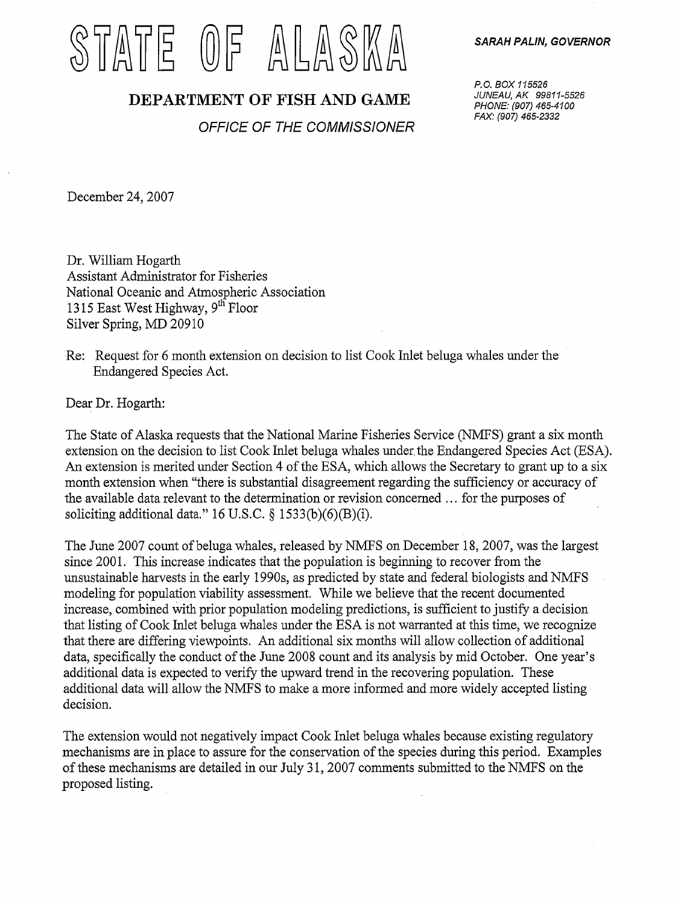## T ATE (0) F ALLASKA

## SARAH PALIN, GOVERNOR

## DEPARTMENT OF FISH AND GAME

OFFICE OF THE COMMISSIONER

P.O. BOX 115526 JUNEAU, AK 99811-5526 PHONE: (907) 465-4100 FAX: (907) 465-2332

December 24, 2007

Dr. William Hogarth Assistant Administrator for Fisheries National Oceanic and Atmospheric Association 1315 East West Highway, 9<sup>th</sup> Floor Silver Spring, MD 20910

Re: Request for 6 month extension on decision to list Cook Inlet beluga whales under the Endangered Species Act.

Dear Dr. Hogarth:

The State of Alaska requests that the National Marine Fisheries Service (NMFS) grant a six month extension on the decision to list Cook Inlet beluga whales under the Endangered Species Act (ESA). An extension is merited under Section 4 of the ESA, which allows the Secretary to grant up to a six month extension when "there is substantial disagreement regarding the sufficiency or accuracy of the available data relevant to the determination or revision concerned ... for the purposes of soliciting additional data." 16 U.S.C.  $\S$  1533(b)(6)(B)(i).

The June 2007 count of beluga whales, released by NMFS on December 18, 2007, was the largest since 2001. This increase indicates that the population is beginning to recover from the unsustainable harvests in the early 1990s, as predicted by state and federal biologists and NMFS modeling for population viability assessment. While we believe that the recent documented increase, combined With prior population modeling predictions, is sufficient to justify a decision that listing of Cook Inlet beluga whales under the ESA is not warranted at this time, we recognize that there are differing viewpoints. An additional six months will allow collection of additional data, specifically the conduct of the June 2008 count and its analysis by mid October. One year's additional data is expected to verify the upward trend in the recovering population. These additional data will allow the NMFS to make a more informed and more widely accepted listing decision.

The extension would not negatively impact Cook Inlet beluga whales because existing regulatory mechanisms are in place to assure for the conservation of the species during this period. Examples of these mechanisms are detailed in our July 31, 2007 comments submitted to the NMFS on the proposed listing.